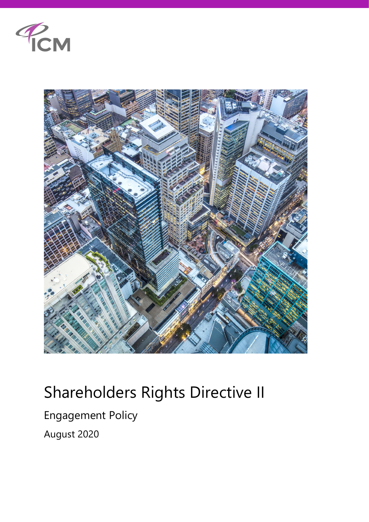



## Shareholders Rights Directive II

## Engagement Policy

August 2020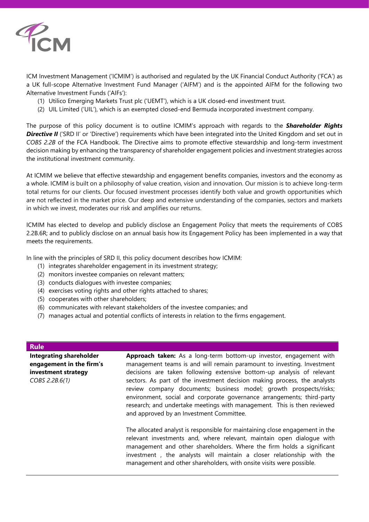

ICM Investment Management ('ICMIM') is authorised and regulated by the UK Financial Conduct Authority ('FCA') as a UK full-scope Alternative Investment Fund Manager ('AIFM') and is the appointed AIFM for the following two Alternative Investment Funds ('AIFs'):

- (1) Utilico Emerging Markets Trust plc ('UEMT'), which is a UK closed-end investment trust.
- (2) UIL Limited ('UIL'), which is an exempted closed-end Bermuda incorporated investment company.

The purpose of this policy document is to outline ICMIM's approach with regards to the *Shareholder Rights*  **Directive II** ('SRD II' or 'Directive') requirements which have been integrated into the United Kingdom and set out in *COBS 2.2B* of the FCA Handbook. The Directive aims to promote effective stewardship and long-term investment decision making by enhancing the transparency of shareholder engagement policies and investment strategies across the institutional investment community.

At ICMIM we believe that effective stewardship and engagement benefits companies, investors and the economy as a whole. ICMIM is built on a philosophy of value creation, vision and innovation. Our mission is to achieve long-term total returns for our clients. Our focused investment processes identify both value and growth opportunities which are not reflected in the market price. Our deep and extensive understanding of the companies, sectors and markets in which we invest, moderates our risk and amplifies our returns.

ICMIM has elected to develop and publicly disclose an Engagement Policy that meets the requirements of COBS 2.2B.6R; and to publicly disclose on an annual basis how its Engagement Policy has been implemented in a way that meets the requirements.

In line with the principles of SRD II, this policy document describes how ICMIM:

- (1) integrates shareholder engagement in its investment strategy;
- (2) monitors investee companies on relevant matters;
- (3) conducts dialogues with investee companies;
- (4) exercises voting rights and other rights attached to shares;
- (5) cooperates with other shareholders;
- (6) communicates with relevant stakeholders of the investee companies; and
- (7) manages actual and potential conflicts of interests in relation to the firms engagement.

## **Rule**

**Integrating shareholder engagement in the firm's investment strategy** *COBS 2.2B.6(1)*

**Approach taken:** As a long-term bottom-up investor, engagement with management teams is and will remain paramount to investing. Investment decisions are taken following extensive bottom-up analysis of relevant sectors. As part of the investment decision making process, the analysts review company documents; business model; growth prospects/risks; environment, social and corporate governance arrangements; third-party research; and undertake meetings with management. This is then reviewed and approved by an Investment Committee.

The allocated analyst is responsible for maintaining close engagement in the relevant investments and, where relevant, maintain open dialogue with management and other shareholders. Where the firm holds a significant investment , the analysts will maintain a closer relationship with the management and other shareholders, with onsite visits were possible.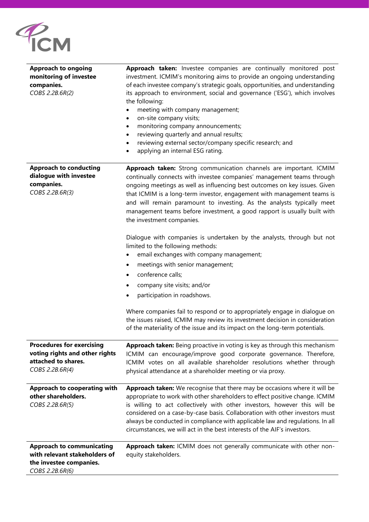

| <b>Approach to ongoing</b><br>monitoring of investee<br>companies.<br>COBS 2.2B.6R(2)                           | Approach taken: Investee companies are continually monitored post<br>investment. ICMIM's monitoring aims to provide an ongoing understanding<br>of each investee company's strategic goals, opportunities, and understanding<br>its approach to environment, social and governance ('ESG'), which involves<br>the following:<br>meeting with company management;<br>٠<br>on-site company visits;<br>$\bullet$<br>monitoring company announcements;<br>$\bullet$<br>reviewing quarterly and annual results;<br>reviewing external sector/company specific research; and<br>applying an internal ESG rating.<br>٠ |
|-----------------------------------------------------------------------------------------------------------------|-----------------------------------------------------------------------------------------------------------------------------------------------------------------------------------------------------------------------------------------------------------------------------------------------------------------------------------------------------------------------------------------------------------------------------------------------------------------------------------------------------------------------------------------------------------------------------------------------------------------|
| <b>Approach to conducting</b><br>dialogue with investee<br>companies.<br>COBS 2.2B.6R(3)                        | Approach taken: Strong communication channels are important. ICMIM<br>continually connects with investee companies' management teams through<br>ongoing meetings as well as influencing best outcomes on key issues. Given<br>that ICMIM is a long-term investor, engagement with management teams is<br>and will remain paramount to investing. As the analysts typically meet<br>management teams before investment, a good rapport is usually built with<br>the investment companies.                                                                                                                        |
|                                                                                                                 | Dialogue with companies is undertaken by the analysts, through but not<br>limited to the following methods:<br>email exchanges with company management;<br>meetings with senior management;<br>٠<br>conference calls;<br>$\bullet$<br>company site visits; and/or<br>٠<br>participation in roadshows.<br>Where companies fail to respond or to appropriately engage in dialogue on<br>the issues raised, ICMIM may review its investment decision in consideration<br>of the materiality of the issue and its impact on the long-term potentials.                                                               |
| <b>Procedures for exercising</b><br>voting rights and other rights<br>attached to shares.<br>COBS 2.2B.6R(4)    | Approach taken: Being proactive in voting is key as through this mechanism<br>ICMIM can encourage/improve good corporate governance. Therefore,<br>ICMIM votes on all available shareholder resolutions whether through<br>physical attendance at a shareholder meeting or via proxy.                                                                                                                                                                                                                                                                                                                           |
| Approach to cooperating with<br>other shareholders.<br>COBS 2.2B.6R(5)                                          | Approach taken: We recognise that there may be occasions where it will be<br>appropriate to work with other shareholders to effect positive change. ICMIM<br>is willing to act collectively with other investors, however this will be<br>considered on a case-by-case basis. Collaboration with other investors must<br>always be conducted in compliance with applicable law and regulations. In all<br>circumstances, we will act in the best interests of the AIF's investors.                                                                                                                              |
| <b>Approach to communicating</b><br>with relevant stakeholders of<br>the investee companies.<br>COBS 2.2B.6R(6) | Approach taken: ICMIM does not generally communicate with other non-<br>equity stakeholders.                                                                                                                                                                                                                                                                                                                                                                                                                                                                                                                    |